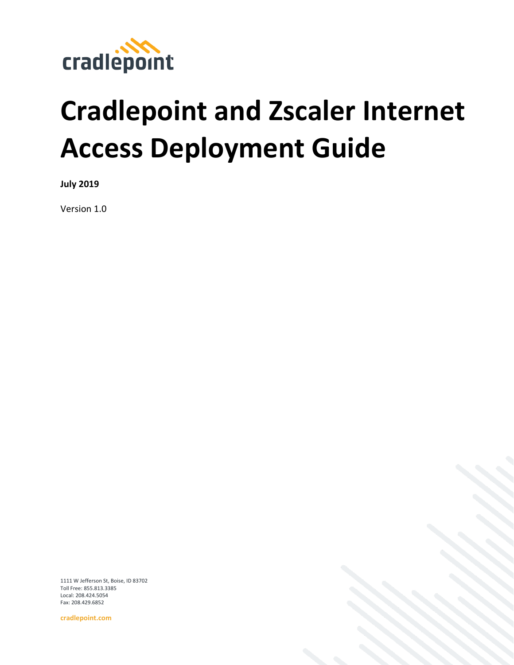

# **Cradlepoint and Zscaler Internet Access Deployment Guide**

**July 2019**

Version 1.0

1111 W Jefferson St, Boise, ID 83702 Toll Free: 855.813.3385 Local: 208.424.5054 Fax: 208.429.6852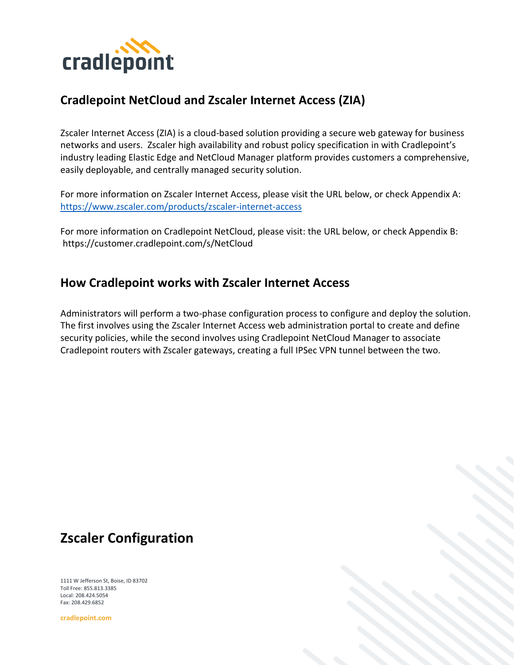

#### **Cradlepoint NetCloud and Zscaler Internet Access (ZIA)**

Zscaler Internet Access (ZIA) is a cloud-based solution providing a secure web gateway for business networks and users. Zscaler high availability and robust policy specification in with Cradlepoint's industry leading Elastic Edge and NetCloud Manager platform provides customers a comprehensive, easily deployable, and centrally managed security solution.

For more information on Zscaler Internet Access, please visit the URL below, or check Appendix A: <https://www.zscaler.com/products/zscaler-internet-access>

For more information on Cradlepoint NetCloud, please visit: the URL below, or check Appendix B: https://customer.cradlepoint.com/s/NetCloud

#### **How Cradlepoint works with Zscaler Internet Access**

Administrators will perform a two-phase configuration process to configure and deploy the solution. The first involves using the Zscaler Internet Access web administration portal to create and define security policies, while the second involves using Cradlepoint NetCloud Manager to associate Cradlepoint routers with Zscaler gateways, creating a full IPSec VPN tunnel between the two.

## **Zscaler Configuration**

1111 W Jefferson St, Boise, ID 83702 Toll Free: 855.813.3385 Local: 208.424.5054 Fax: 208.429.6852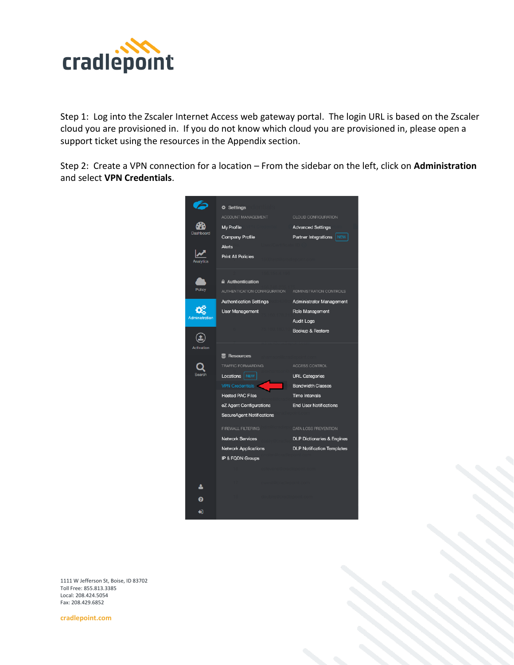

Step 1: Log into the Zscaler Internet Access web gateway portal. The login URL is based on the Zscaler cloud you are provisioned in. If you do not know which cloud you are provisioned in, please open a support ticket using the resources in the Appendix section.

Step 2: Create a VPN connection for a location – From the sidebar on the left, click on **Administration** and select **VPN Credentials**.



1111 W Jefferson St, Boise, ID 83702 Toll Free: 855.813.3385 Local: 208.424.5054 Fax: 208.429.6852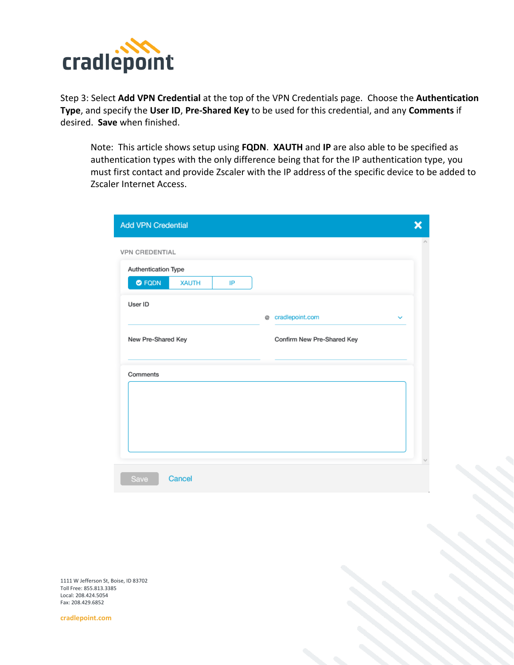

Step 3: Select **Add VPN Credential** at the top of the VPN Credentials page. Choose the **Authentication Type**, and specify the **User ID**, **Pre-Shared Key** to be used for this credential, and any **Comments** if desired. **Save** when finished.

Note: This article shows setup using **FQDN**. **XAUTH** and **IP** are also able to be specified as authentication types with the only difference being that for the IP authentication type, you must first contact and provide Zscaler with the IP address of the specific device to be added to Zscaler Internet Access.

| Authentication Type            |    |   |                            |              |  |
|--------------------------------|----|---|----------------------------|--------------|--|
| $\bullet$ FQDN<br><b>XAUTH</b> | IP |   |                            |              |  |
| User ID                        |    |   |                            |              |  |
|                                |    | ø | cradlepoint.com            | $\checkmark$ |  |
| New Pre-Shared Key             |    |   | Confirm New Pre-Shared Key |              |  |
| Comments                       |    |   |                            |              |  |
|                                |    |   |                            |              |  |
|                                |    |   |                            |              |  |

1111 W Jefferson St, Boise, ID 83702 Toll Free: 855.813.3385 Local: 208.424.5054 Fax: 208.429.6852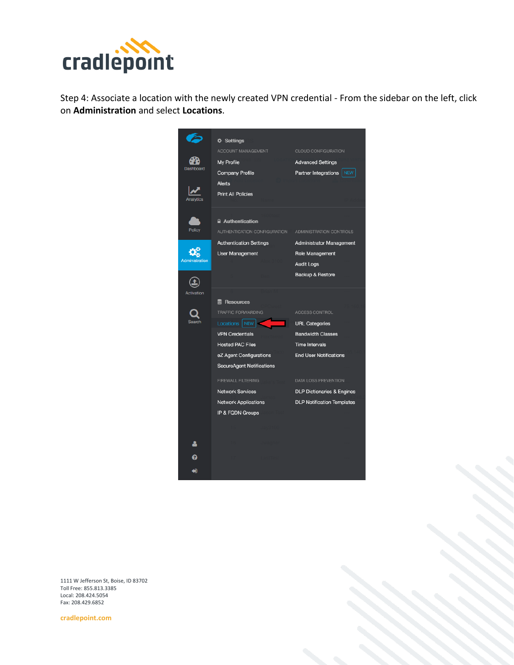

Step 4: Associate a location with the newly created VPN credential - From the sidebar on the left, click on **Administration** and select **Locations**.



1111 W Jefferson St, Boise, ID 83702 Toll Free: 855.813.3385 Local: 208.424.5054 Fax: 208.429.6852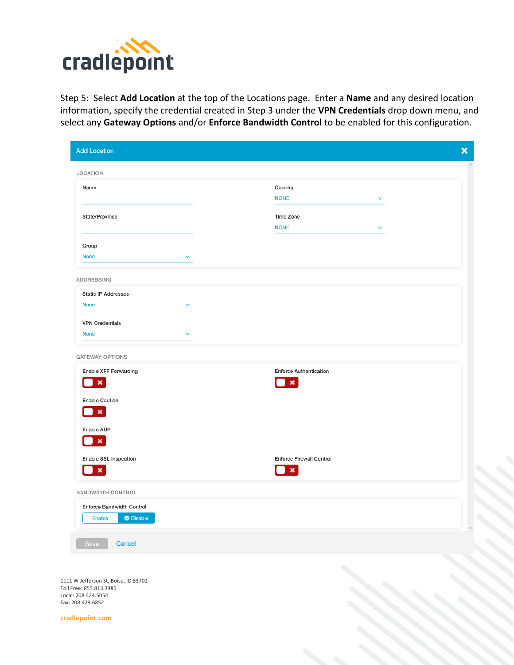

Step 5: Select **Add Location** at the top of the Locations page. Enter a **Name** and any desired location information, specify the credential created in Step 3 under the **VPN Credentials** drop down menu, and select any **Gateway Options** and/or **Enforce Bandwidth Control** to be enabled for this configuration.

| <b>Add Location</b>                                | $\boldsymbol{\mathsf{x}}$                              |
|----------------------------------------------------|--------------------------------------------------------|
| LOCATION                                           |                                                        |
| Name                                               | Country                                                |
|                                                    | <b>NONE</b>                                            |
| State/Province                                     | Time Zone<br><b>NONE</b>                               |
|                                                    |                                                        |
| Group<br>None<br>$\checkmark$                      |                                                        |
|                                                    |                                                        |
| ADDRESSING                                         |                                                        |
| <b>Static IP Addresses</b><br>None<br>$\checkmark$ |                                                        |
|                                                    |                                                        |
| <b>VPN Credentials</b><br>None<br>$\checkmark$     |                                                        |
|                                                    |                                                        |
| <b>GATEWAY OPTIONS</b>                             |                                                        |
| Enable XFF Forwarding<br>$\pmb{\times}$            | <b>Enforce Authentication</b><br>$\boldsymbol{\times}$ |
| <b>Enable Caution</b>                              |                                                        |
| $\pmb{\times}$                                     |                                                        |
| Enable AUP                                         |                                                        |
| $\boldsymbol{\mathsf{x}}$                          |                                                        |
| Enable SSL Inspection                              | <b>Enforce Firewall Control</b>                        |
| $\pmb{\times}$                                     | $\boldsymbol{\times}$                                  |
| <b>BANDWIDTH CONTROL</b>                           |                                                        |
| Enforce Bandwidth Control                          |                                                        |
| <b>O</b> Disable<br>Enable                         |                                                        |
| Save<br>Cancel                                     |                                                        |
|                                                    |                                                        |
|                                                    |                                                        |

1111 W Jefferson St, Boise, ID 83702 Toll Free: 855.813.3385 Local: 208.424.5054 Fax: 208.429.6852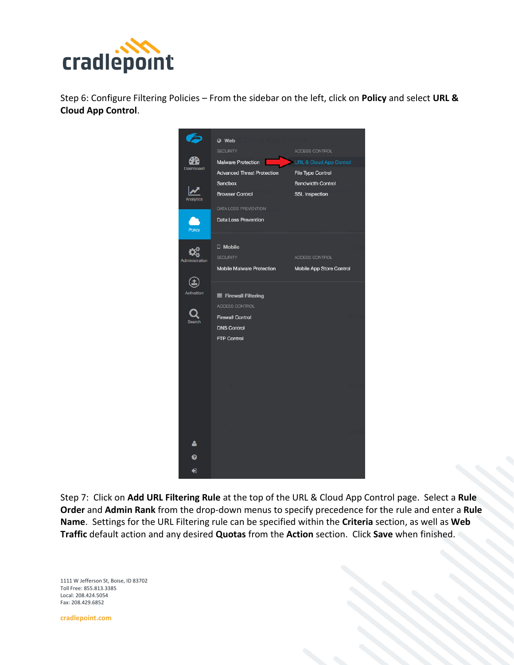

Step 6: Configure Filtering Policies – From the sidebar on the left, click on **Policy** and select **URL & Cloud App Control**.



Step 7: Click on **Add URL Filtering Rule** at the top of the URL & Cloud App Control page. Select a **Rule Order** and **Admin Rank** from the drop-down menus to specify precedence for the rule and enter a **Rule Name**. Settings for the URL Filtering rule can be specified within the **Criteria** section, as well as **Web Traffic** default action and any desired **Quotas** from the **Action** section. Click **Save** when finished.

1111 W Jefferson St, Boise, ID 83702 Toll Free: 855.813.3385 Local: 208.424.5054 Fax: 208.429.6852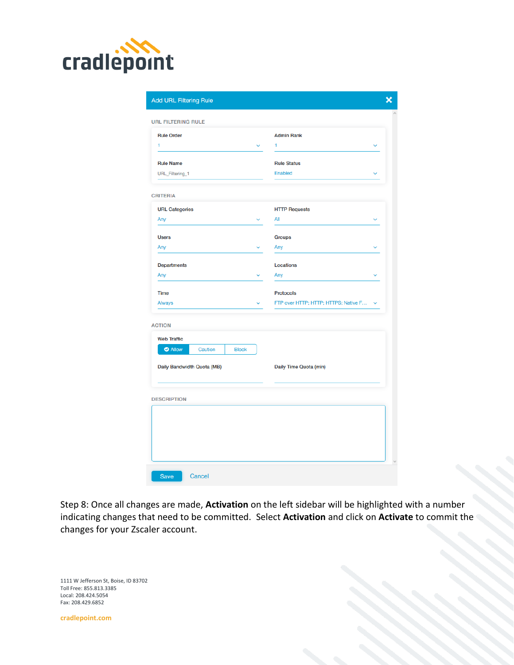

| <b>URL FILTERING RULE</b>                                       |   |                                        |  |
|-----------------------------------------------------------------|---|----------------------------------------|--|
| <b>Rule Order</b>                                               |   | <b>Admin Rank</b>                      |  |
| 1                                                               |   | 1                                      |  |
| <b>Rule Name</b>                                                |   | <b>Rule Status</b>                     |  |
| URL_Filtering_1                                                 |   | Enabled                                |  |
| <b>CRITERIA</b>                                                 |   |                                        |  |
| <b>URL Categories</b>                                           |   | <b>HTTP Requests</b>                   |  |
| Any                                                             | v | All                                    |  |
| <b>Users</b>                                                    |   | <b>Groups</b>                          |  |
| Any                                                             |   | Any                                    |  |
| <b>Departments</b>                                              |   | <b>Locations</b>                       |  |
| Any                                                             |   | Any                                    |  |
| <b>Time</b>                                                     |   | <b>Protocols</b>                       |  |
| Always                                                          |   | FTP over HTTP; HTTP; HTTPS; Native F ~ |  |
| <b>ACTION</b>                                                   |   |                                        |  |
| <b>Web Traffic</b><br><b>O</b> Allow<br><b>Block</b><br>Caution |   |                                        |  |
|                                                                 |   |                                        |  |
| Daily Bandwidth Quota (MB)                                      |   | Daily Time Quota (min)                 |  |
| <b>DESCRIPTION</b>                                              |   |                                        |  |
|                                                                 |   |                                        |  |
|                                                                 |   |                                        |  |
|                                                                 |   |                                        |  |

Step 8: Once all changes are made, **Activation** on the left sidebar will be highlighted with a number indicating changes that need to be committed. Select **Activation** and click on **Activate** to commit the changes for your Zscaler account.

1111 W Jefferson St, Boise, ID 83702 Toll Free: 855.813.3385 Local: 208.424.5054 Fax: 208.429.6852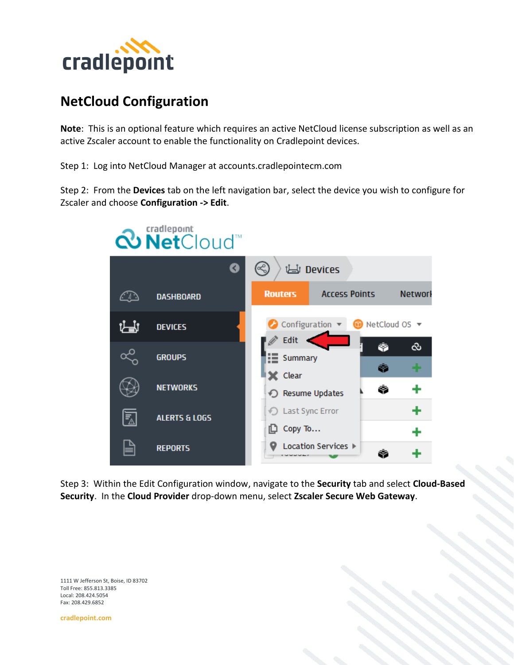

### **NetCloud Configuration**

**Note**: This is an optional feature which requires an active NetCloud license subscription as well as an active Zscaler account to enable the functionality on Cradlepoint devices.

Step 1: Log into NetCloud Manager at accounts.cradlepointecm.com

Step 2: From the **Devices** tab on the left navigation bar, select the device you wish to configure for Zscaler and choose **Configuration -> Edit**.



Step 3: Within the Edit Configuration window, navigate to the **Security** tab and select **Cloud-Based Security**. In the **Cloud Provider** drop-down menu, select **Zscaler Secure Web Gateway**.

1111 W Jefferson St, Boise, ID 83702 Toll Free: 855.813.3385 Local: 208.424.5054 Fax: 208.429.6852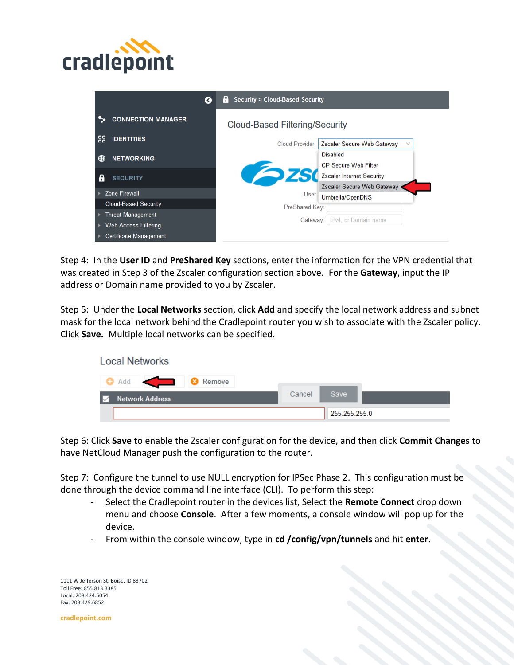

| Ø                                          | <b>Security &gt; Cloud-Based Security</b><br>H  |
|--------------------------------------------|-------------------------------------------------|
| <b>CONNECTION MANAGER</b>                  | <b>Cloud-Based Filtering/Security</b>           |
| 88<br><b>IDENTITIES</b>                    |                                                 |
|                                            | Zscaler Secure Web Gateway<br>Cloud Provider: I |
| ⊕<br><b>NETWORKING</b>                     | <b>Disabled</b>                                 |
|                                            | <b>CP Secure Web Filter</b>                     |
| - 6<br><b>SECURITY</b>                     | Zscaler Internet Security                       |
|                                            | Zscaler Secure Web Gateway                      |
| <b>Zone Firewall</b>                       | User<br>Umbrella/OpenDNS                        |
| <b>Cloud-Based Security</b>                | PreShared Key:                                  |
| Threat Management<br>$\blacktriangleright$ |                                                 |
| Web Access Filtering<br>$\overline{ }$     | IPv4, or Domain name<br>Gateway:                |
| <b>Certificate Management</b>              |                                                 |

Step 4: In the **User ID** and **PreShared Key** sections, enter the information for the VPN credential that was created in Step 3 of the Zscaler configuration section above. For the **Gateway**, input the IP address or Domain name provided to you by Zscaler.

Step 5: Under the **Local Networks** section, click **Add** and specify the local network address and subnet mask for the local network behind the Cradlepoint router you wish to associate with the Zscaler policy. Click **Save.** Multiple local networks can be specified.



Step 6: Click **Save** to enable the Zscaler configuration for the device, and then click **Commit Changes** to have NetCloud Manager push the configuration to the router.

Step 7: Configure the tunnel to use NULL encryption for IPSec Phase 2. This configuration must be done through the device command line interface (CLI). To perform this step:

- Select the Cradlepoint router in the devices list, Select the **Remote Connect** drop down menu and choose **Console**. After a few moments, a console window will pop up for the device.
- From within the console window, type in **cd /config/vpn/tunnels** and hit **enter**.

1111 W Jefferson St, Boise, ID 83702 Toll Free: 855.813.3385 Local: 208.424.5054 Fax: 208.429.6852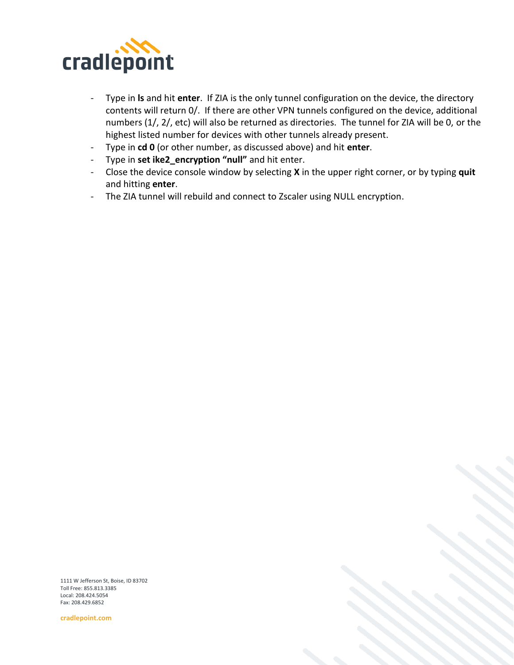

- Type in **ls** and hit **enter**. If ZIA is the only tunnel configuration on the device, the directory contents will return 0/. If there are other VPN tunnels configured on the device, additional numbers (1/, 2/, etc) will also be returned as directories. The tunnel for ZIA will be 0, or the highest listed number for devices with other tunnels already present.
- Type in **cd 0** (or other number, as discussed above) and hit **enter**.
- Type in **set ike2\_encryption "null"** and hit enter.
- Close the device console window by selecting **X** in the upper right corner, or by typing **quit** and hitting **enter**.
- The ZIA tunnel will rebuild and connect to Zscaler using NULL encryption.

1111 W Jefferson St, Boise, ID 83702 Toll Free: 855.813.3385 Local: 208.424.5054 Fax: 208.429.6852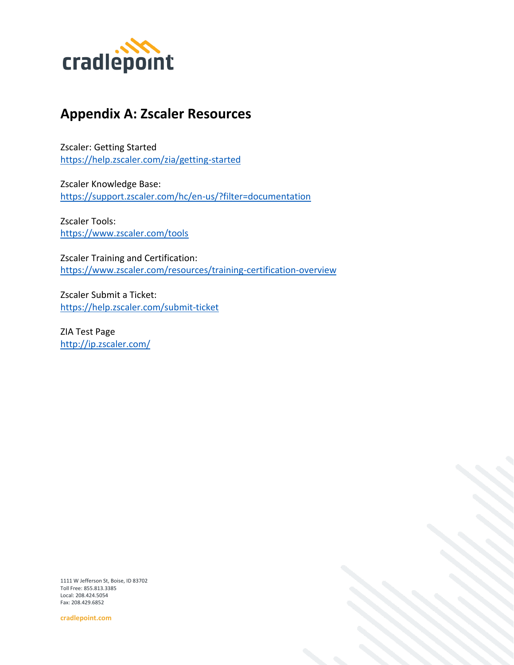

#### **Appendix A: Zscaler Resources**

Zscaler: Getting Started <https://help.zscaler.com/zia/getting-started>

Zscaler Knowledge Base: <https://support.zscaler.com/hc/en-us/?filter=documentation>

Zscaler Tools: <https://www.zscaler.com/tools>

Zscaler Training and Certification: <https://www.zscaler.com/resources/training-certification-overview>

Zscaler Submit a Ticket: <https://help.zscaler.com/submit-ticket>

ZIA Test Page <http://ip.zscaler.com/>

1111 W Jefferson St, Boise, ID 83702 Toll Free: 855.813.3385 Local: 208.424.5054 Fax: 208.429.6852